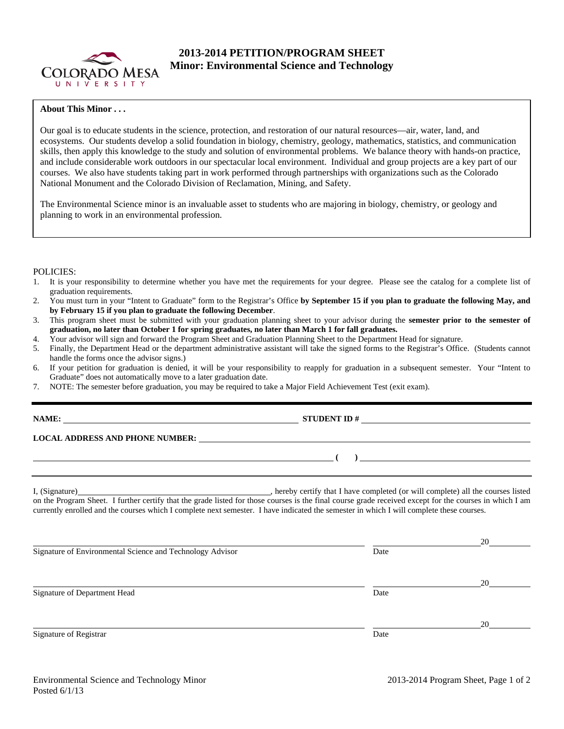

# **2013-2014 PETITION/PROGRAM SHEET Minor: Environmental Science and Technology**

# **About This Minor . . .**

Our goal is to educate students in the science, protection, and restoration of our natural resources—air, water, land, and ecosystems. Our students develop a solid foundation in biology, chemistry, geology, mathematics, statistics, and communication skills, then apply this knowledge to the study and solution of environmental problems. We balance theory with hands-on practice, and include considerable work outdoors in our spectacular local environment. Individual and group projects are a key part of our courses. We also have students taking part in work performed through partnerships with organizations such as the Colorado National Monument and the Colorado Division of Reclamation, Mining, and Safety.

The Environmental Science minor is an invaluable asset to students who are majoring in biology, chemistry, or geology and planning to work in an environmental profession.

## POLICIES:

- 1. It is your responsibility to determine whether you have met the requirements for your degree. Please see the catalog for a complete list of graduation requirements.
- 2. You must turn in your "Intent to Graduate" form to the Registrar's Office **by September 15 if you plan to graduate the following May, and by February 15 if you plan to graduate the following December**.
- 3. This program sheet must be submitted with your graduation planning sheet to your advisor during the **semester prior to the semester of graduation, no later than October 1 for spring graduates, no later than March 1 for fall graduates.**
- 4. Your advisor will sign and forward the Program Sheet and Graduation Planning Sheet to the Department Head for signature.
- 5. Finally, the Department Head or the department administrative assistant will take the signed forms to the Registrar's Office. (Students cannot handle the forms once the advisor signs.)
- 6. If your petition for graduation is denied, it will be your responsibility to reapply for graduation in a subsequent semester. Your "Intent to Graduate" does not automatically move to a later graduation date.
- 7. NOTE: The semester before graduation, you may be required to take a Major Field Achievement Test (exit exam).

| IAME |  |
|------|--|
|------|--|

**NAME IO + STUDENT ID +** 

 **( )** 

### **LOCAL ADDRESS AND PHONE NUMBER:**

| I. (Signature) |  |
|----------------|--|
|                |  |

I, hereby certify that I have completed (or will complete) all the courses listed on the Program Sheet. I further certify that the grade listed for those courses is the final course grade received except for the courses in which I am currently enrolled and the courses which I complete next semester. I have indicated the semester in which I will complete these courses.

|                                                           |      | 20 |
|-----------------------------------------------------------|------|----|
| Signature of Environmental Science and Technology Advisor | Date |    |
|                                                           |      | 20 |
| Signature of Department Head                              | Date |    |
|                                                           |      | 20 |
| Signature of Registrar                                    | Date |    |